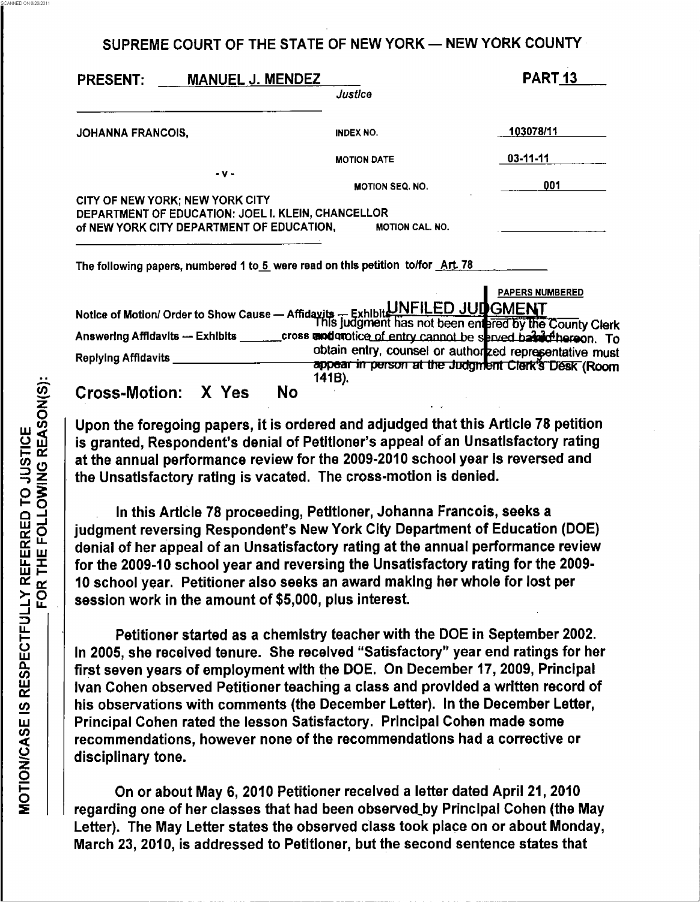## SUPREME COURT OF THE STATE OF NEW YORK - NEW YORK COUNTY

| <b>PRESENT:</b><br><b>MANUEL J. MENDEZ</b>                                                                                                | Justice                                                                                                                 | <b>PART 13</b>         |
|-------------------------------------------------------------------------------------------------------------------------------------------|-------------------------------------------------------------------------------------------------------------------------|------------------------|
|                                                                                                                                           |                                                                                                                         |                        |
| <b>JOHANNA FRANCOIS,</b>                                                                                                                  | <b>INDEX NO.</b>                                                                                                        | 103078/11              |
|                                                                                                                                           | <b>MOTION DATE</b>                                                                                                      | $03 - 11 - 11$         |
| $-V -$                                                                                                                                    | <b>MOTION SEQ. NO.</b>                                                                                                  | 001                    |
| CITY OF NEW YORK; NEW YORK CITY<br>DEPARTMENT OF EDUCATION: JOEL I. KLEIN, CHANCELLOR<br>of NEW YORK CITY DEPARTMENT OF EDUCATION,        | <b>MOTION CAL. NO.</b>                                                                                                  |                        |
| The following papers, numbered 1 to 5 were read on this petition to/for Art. 78                                                           |                                                                                                                         |                        |
|                                                                                                                                           |                                                                                                                         | <b>PAPERS NUMBERED</b> |
| Notice of Motion/ Order to Show Cause — Affidavits — Exhibits UNFILED JUD GMENT<br>This judgment has not been entered by the County Clerk |                                                                                                                         |                        |
| Answering Affidavits --- Exhibits ________cross and anotice of entry cannot be senved balaid hereon. To                                   |                                                                                                                         |                        |
| <b>Replying Affidavits</b>                                                                                                                | obtain entry, counsel or authorzed representative must<br>appear in person at the Judgment Clerk's Desk (Room<br>141B). |                        |
| <b>W</b>                                                                                                                                  | ъ.                                                                                                                      |                        |

## .. **Cross-Motion: X Yes No**

Upon the foregoing papers, it is ordered and adjudged that this Article 78 petition is granted, Respondent's denial of Petitioner's appeal of an Unsatisfactory rating at the annual performance review for the **2009-2010** school year is reversed and the Unsatisfactory rating is vacated. The cross-motion *is* denied.

in this Article 78 proceeding, Petitioner, Johanna Francois, seeks a judgment reversing Respondent's New York City Department of Education (DOE) denial of her appeal of an Unsatisfactory rating at the annual performance review for the 2009-10 school year and reversing the Unsatisfactory rating for the 2009- **10** school year. Petitioner also seeks an award making her whole for lost per session work in the amount of \$5,000, plus interest.

Petltioner started as a chemistry teacher with the DOE in September **2002.**  in **2005,** she received tenure. She received "Satisfactory" year end ratings for her first seven years of employment with the **DOE.** On December 17,2009, Principal Ivan Cohen observed Petitioner teaching a class and provided a written record of his observations with comments (the December Letter). in the December Letter, Principal Cohen rated the lesson Satisfactory. Principal Cohen made some recommendations, however none of the recommendations had a corrective or disciplinary tone.

On or about May 6, **2010** Petitioner received **a** letter dated April **21,2010**  regarding one of her classes that had been observed-by Principal Cohen (the May Letter). The May Letter states the observed class took place on or about Monday, March **23,** 2010, is addressed to Petitioner, but the second sentence states that

**NED ON 8/26/201**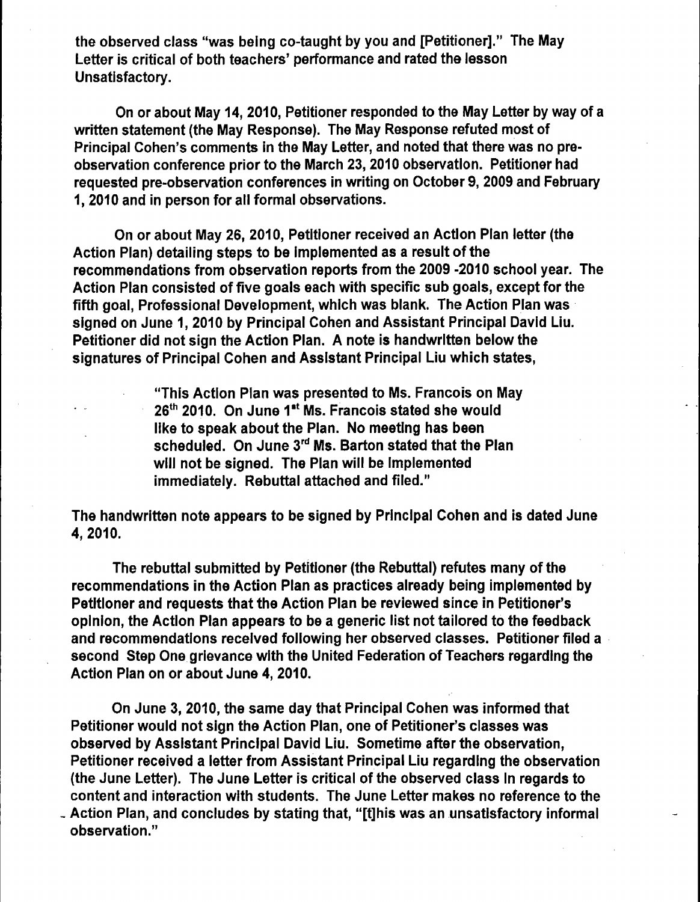the obsewed class "was being co-taught by you and [Petitioner]." The May Letter is critical of both teachers' performance and rated the lesson Unsatisfactory.

On or about May **14,2010,** Petitioner responded to the May Letter by way of a written statement (the May Response). The May Response refuted most **of**  Principal Cohen's comments in the May Letter, and noted that there was no preobservation conference prior to the March **23,2010** observatlon. Petitioner had requested pre-observation conferences in writing on October **9, 2009** and February **I,** 2010 and in person for all formal observations.

On or about May 26, **2010,** Petitioner received **an** Action Plan letter (the Action Plan) detailing steps to be implemented as a result of the recommendations from observation reports from the 2009 -2010 school year. The Action Plan consisted of five goals each with specific sub goals, except for the fifth goal, Professional Development, which was blank. The Action Plan was signed on June **I, 2010** by Principal Cohen and Assistant Principal David Liu. Petitioner did not sign the Action Plan. A note is handwrltten below the signatures of Principal Cohen and Asslstant Principal Liu which states,

> "This Actlon Plan was presented to Ms. Francois on May 26<sup>th</sup> 2010. On June 1<sup>at</sup> Ms. Francois stated she would like to speak about the Plan. No meeting has been scheduled. On June **3rd** Ms. Barton stated that **the** Plan **wlll** not be signed. The Plan will be Implemented immediately. Rebuttal attached and filed."

..

The handwritten note appears to be signed by Principal Cohen and is dated June **4,** 2010.

The rebuttal submitted by Petitioner (the Rebuttal) refutes many of the recommendations in the Action Plan as practices already being implemented by Petitloner and requests that the Action Plan be reviewed since in Petitioner's oplnlon, the Actlon Plan appears to be a generic list not tailored to the feedback and recommendations received following her observed classes. Petitioner filed a second Step One grievance with the United Federation of Teachers regarding the Action Plan on or about June 4,2010.

On June **3, 2010,** the same day that Principal Cohen was informed that Petitioner would not **slgn** the Action Plan, one of Petitioner's **classes** was observed by Assistant Principal David Liu. Sometime after the observation, Petitioner received a letter from Assistant Principal Liu regardlng the observation (the June Letter). The June Letter is critical of the observed class In regards to content and interaction with students. The June Letter makes no reference to the observation." Action Plan, and concludes by stating that, "[tlhis was an unsatlsfactory informal -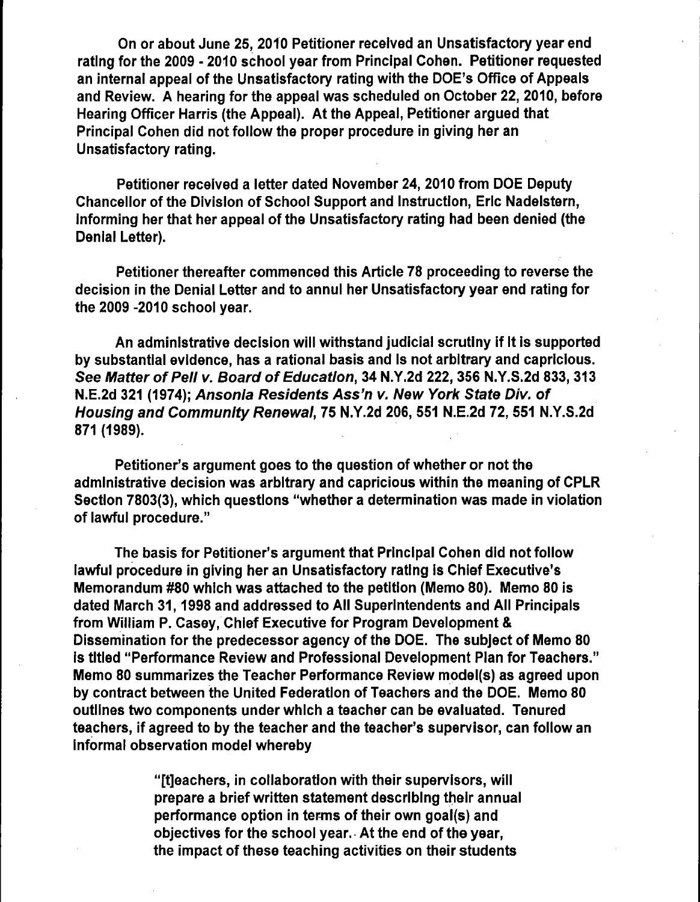On or about June **25,2010** Petitioner received **an** Unsatisfactory year end ratlng for the 2009 - **2010** school year from Principal Cohen. Petitioner requested an internal appeal of the Unsatisfactory rating with the **DOE'S** Ofh'ce of Appeals and Review. A hearing for the appeal was scheduled on October **22,2010,** before Hearing Officer Harris (the Appeal). At the Appeal, Petitioner argued that Principal Cohen did not follow the proper procedure in giving her an Unsatisfactory rating.

Petitioner received a letter dated November 24, 2010 from DOE Deputy Chancellor of the Dlvlslon of School Support and Instructlon, Erlc Nadelstern, Informing her that her appeal of the Unsatisfactory rating had been denied (the Denial Letter).

Petitioner thereafter commenced this Article 78 proceeding to reverse the decision in the Denial Letter and to annul her Unsatisfactory year end rating for the 2009 **-2010** school year.

An administrative decision will withstand judlclal scrutiny if It is supported by substantial evldence, has a rational basis and Is not arbltrary and capricious. See Matter of *Pel/ v.* Board of *Educaflon,* 34 N.Y.2d 222,356 N.Y.S.2d **833,313**  N.E.2d **321 (1974);** *Ansonla Residents Ass'n v. New York State Div. of Housing and Communlty Renewal,* **75 N.Y.2d 206, 551** N.E.2d **72,551** N.Y.S.2d **871 (1989).** 

Petitioner's argument goes to the question of whether or not the administrative decision was arbitrary and capricious within the meaning of CPLR Sectlon **7803(3),** which questlons "whether a determination was made in violation of lawful procedure."

The basis for Petitioner's argument that Prlnclpal Cohen did not follow lawful procedure in giving her an Unsatisfactory ratlng is Chief Executive's Memorandum **#80** which was attached to the petition (Memo 80). Memo 80 is dated March **31,1998** and addressed to All Superlntendents and All Principals from William P. Casey, Chief Executive for Program Development & Dissemination for the predecessor agency of the DOE. The subject of Memo 80 is titled "Performance Review and Professional Development Plan for Teachers." Memo 80 summarizes the Teacher Performance Review model(s) as agreed upon by contract between the United Federation of Teachers and the DOE. Memo 80 outllnes two components under whlch a teacher can be evaluated. Tenured teachers, if agreed to by the teacher and the teacher's supervisor, can follow an Informal observation model whereby

> "[t]eachers, in collaboration with their supervisors, will prepare a brief written statement descrlblng their annual performance option in terms of their own goal(s) and objectives for the school year.- At the end of the year, the impact of these teaching activities on their students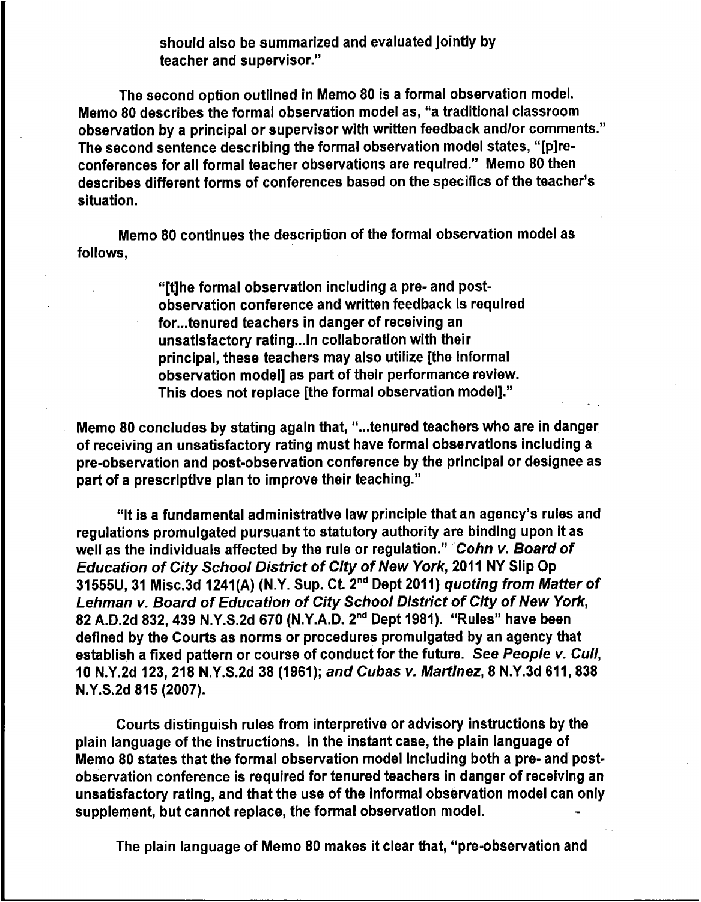should also be summarlzed and evaluated Jointly by teacher and supervisor."

The second option outlined in Memo 80 is a formal observation model. Memo 80 describes the formal observation model as, **"a** tradltlonal classroom observation by a principal or supervisor with written feedback and/or comments." The second sentence describing the formal observation model states, "[plreconferences for all formal teacher observations are requlred." Memo 80 then describes different forms of conferences based on the specifics of the teacher's situation.

Memo **80** continues the description of the formal observation model as follows,

> "[tlhe formal observation including a pre- and postobservation conference and written feedback is requlred for... tenured teachers in danger of receiving an unsatlsfactory rating ... In collaboratlon with their principal, these teachers may also utilize [the Informal observation model] as part of their performance review. This does not replace [the formal observation model]."

Memo 80 concludes by stating agaln that, "...tenured teachers who are in danger of receiving an unsatisfactory rating must have formal obsewatlons including a pre-observation and post-observation conference by the principal or designee as part of a prescrlptlve plan to improve their teaching."

"It is a fundamental administratlve law principle that an agency's rules and regulations promulgated pursuant to statutory authority are binding upon It as well as the individuals affected by the rule or regulation." Cohn *v. Board of Education of City School District of City of New York, 2011 NY Slip Op* 31555U, 31 Misc.3d 1241(A) (N.Y. Sup. Ct. **2"d** Dept 201 I) *quotlng* from *Matter of Lehman v. Board of Education of City School District of City of New York, 82* A.D.2d 832,439 N.Y.S.2d 670 (N.Y.A.D. **2"d** Dept 1981). "Rules" have been defined by the Courts as norms or procedures promulgated **by** an agency that establish a fixed pattern or course of conduct for the future. *See People v. Cull,*  IO N.Y.2d 123, **218** N.Y.S.2d **38** (1961); and *Cubas v.* Martinez, 8 N.Y.3d 611,838 N.Y.S.2d **815** (2007).

Courts distinguish rules from interpretive or advisory instructions by the plain language of the instructions. In the instant case, the plain language of Memo 80 states that the formal Observation model including both a pre- and postobservation conference is required for tenured teachers In danger of receiving an unsatisfactory rating, and that the use of the Informal observation model can only supplement, but cannot replace, the formal observation model.

The plain language of Memo 80 makes it clear that, "pre-observation and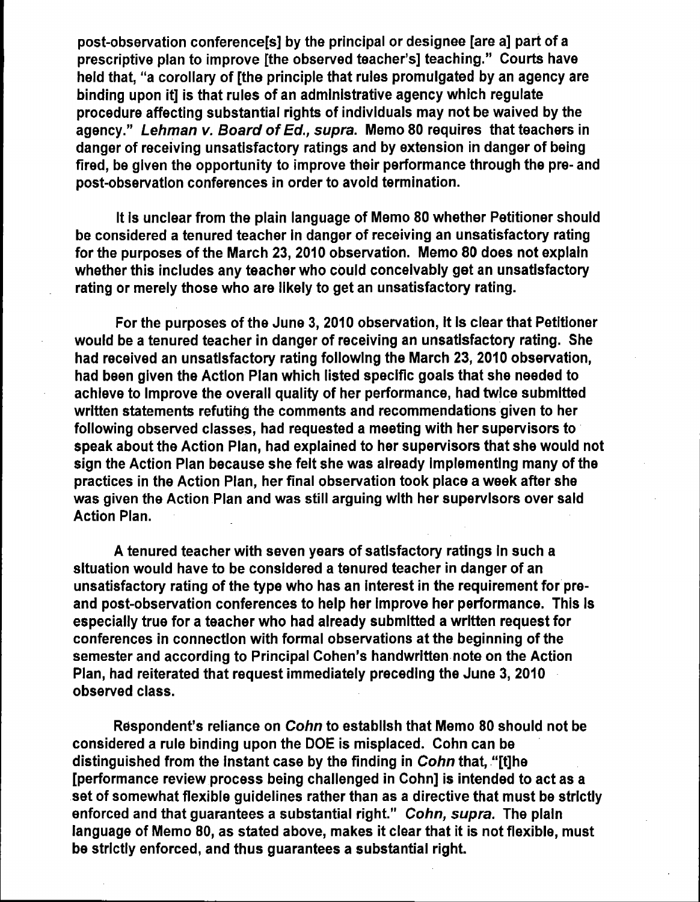post-observation conference[s] by the principal or designee [are a] part of a prescriptive plan to improve [the observed teacher's] teaching." Courts have held that, "a corollary of [the principle that rules promulgated by an agency are binding upon it] is that rules of an admlnistrative agency which regulate procedure affecting substantial rights of individuals may not be waived by the agency." *Lehrnan v.* Board of *Ed.,* supra. Memo 80 requires that teachers in danger of receiving unsatlsfactory ratings and by extension in danger of being fired, be given the opportunity to improve their performance through the pre- and post-observatlon conferences in order to avoid termination.

It **Is** unclear from the plain language of Memo 80 whether Petitioner should be considered a tenured teacher In danger of receiving an unsatisfactory rating for the purposes of the March 23,2010 observation. Memo 80 does not explain whether this includes any teacher who could conceivably get an unsatlsfactory rating or merely those who are likely to get an unsatisfactory rating.

For the purposes of the June 3,2010 observation, It Is clear that Petitioner would be a tenured teacher in danger of receiving an unsatisfactory rating. She had received an unsatlsfactory rating followlng the March **23,** 2010 observation, had been given the Actlon Plan which listed speclflc goals that she needed to achleve to Improve the overall quality of her performance, had twice submltted written statements refutihg the comments and recommendations given to her following observed classes, had requested a meeting with her supervisors to speak about the Action Plan, had explained to her supervisors that she would not sign the Action Plan because she felt she was already lmplementlng many of the practices in the Action Plan, her final observation took place a week after she was given the Action Plan and was still arguing with her supervisors over said Action Plan.

A tenured teacher with seven years of satlsfactory ratings In such a sltuation would have to be Considered a tenured teacher in danger of an unsatisfactory rating of the type who has an interest in the requirement for preand post-observation conferences to help her Improve her performance. This Is especially true for a teacher who had already submltted a wrltten request for conferences in connectlon with formal observations at the beginning of the semester and according to Principal Cohen's handwritten note on the Action Plan, had reiterated that request immediately preceding the June **3,** 2010 observed class.

Respondent's reliance on Cohn to establish that Memo 80 should not be considered a rule binding upon the DOE is misplaced. Cohn can be distinguished from the instant case by the finding in Cohn that, "[tlhe [performance review process being challenged in Cohn] is intended to act as a set of somewhat flexible guidelines rather than as a directive that must be strlctly enforced and that guarantees a substantial right." Cohn, supra. The plain language of Memo 80, as stated above, makes it clear that it is not flexible, must be strlctly enforced, and thus guarantees a substantial right.